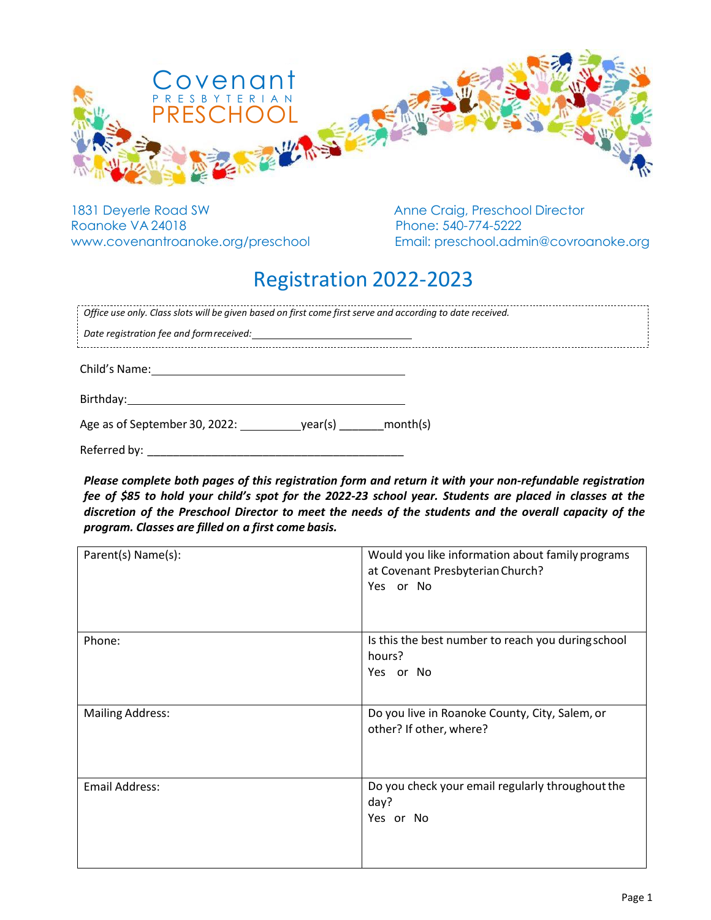

1831 Deyerle Road SW Anne Craig, Preschool Director Roanoke VA 24018 Phone: 540-774-5222

www.covenantroanoke.org/preschool Email: preschool.admin@covroanoke.org

## Registration 2022-2023

| Office use only. Class slots will be given based on first come first serve and according to date received. |  |
|------------------------------------------------------------------------------------------------------------|--|
| Date registration fee and form received:                                                                   |  |
| Child's Name:                                                                                              |  |
| Birthday:                                                                                                  |  |

Age as of September 30, 2022: year(s) month(s)

Referred by:

*Please complete both pages of this registration form and return it with your non-refundable registration fee of \$85 to hold your child's spot for the 2022-23 school year. Students are placed in classes at the discretion of the Preschool Director to meet the needs of the students and the overall capacity of the program. Classes are filled on a first come basis.*

| Parent(s) Name(s):      | Would you like information about family programs<br>at Covenant Presbyterian Church?<br>Yes or No |
|-------------------------|---------------------------------------------------------------------------------------------------|
| Phone:                  | Is this the best number to reach you during school<br>hours?<br>Yes or No                         |
| <b>Mailing Address:</b> | Do you live in Roanoke County, City, Salem, or<br>other? If other, where?                         |
| <b>Email Address:</b>   | Do you check your email regularly throughout the<br>day?<br>Yes or No                             |